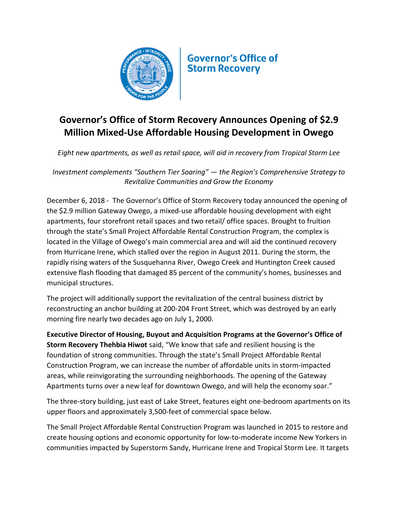

**Governor's Office of Storm Recoverv** 

## **Governor's Office of Storm Recovery Announces Opening of \$2.9 Million Mixed-Use Affordable Housing Development in Owego**

*Eight new apartments, as well as retail space, will aid in recovery from Tropical Storm Lee*

*Investment complements "Southern Tier Soaring" — the Region's Comprehensive Strategy to Revitalize Communities and Grow the Economy*

December 6, 2018 - The Governor's Office of Storm Recovery today announced the opening of the \$2.9 million Gateway Owego, a mixed-use affordable housing development with eight apartments, four storefront retail spaces and two retail/ office spaces. Brought to fruition through the state's Small Project Affordable Rental Construction Program, the complex is located in the Village of Owego's main commercial area and will aid the continued recovery from Hurricane Irene, which stalled over the region in August 2011. During the storm, the rapidly rising waters of the Susquehanna River, Owego Creek and Huntington Creek caused extensive flash flooding that damaged 85 percent of the community's homes, businesses and municipal structures.

The project will additionally support the revitalization of the central business district by reconstructing an anchor building at 200-204 Front Street, which was destroyed by an early morning fire nearly two decades ago on July 1, 2000.

**Executive Director of Housing, Buyout and Acquisition Programs at the Governor's Office of Storm Recovery Thehbia Hiwot** said, "We know that safe and resilient housing is the foundation of strong communities. Through the state's Small Project Affordable Rental Construction Program, we can increase the number of affordable units in storm-impacted areas, while reinvigorating the surrounding neighborhoods. The opening of the Gateway Apartments turns over a new leaf for downtown Owego, and will help the economy soar."

The three-story building, just east of Lake Street, features eight one-bedroom apartments on its upper floors and approximately 3,500-feet of commercial space below.

The Small Project Affordable Rental Construction Program was launched in 2015 to restore and create housing options and economic opportunity for low-to-moderate income New Yorkers in communities impacted by Superstorm Sandy, Hurricane Irene and Tropical Storm Lee. It targets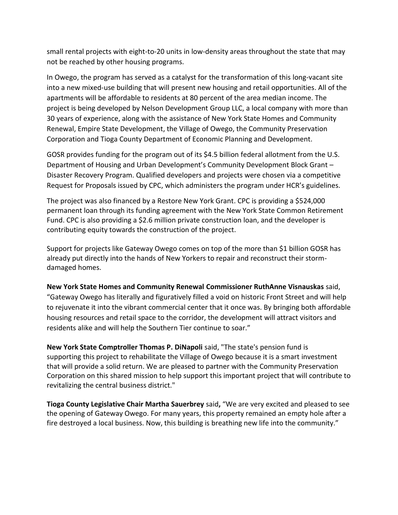small rental projects with eight-to-20 units in low-density areas throughout the state that may not be reached by other housing programs.

In Owego, the program has served as a catalyst for the transformation of this long-vacant site into a new mixed-use building that will present new housing and retail opportunities. All of the apartments will be affordable to residents at 80 percent of the area median income. The project is being developed by Nelson Development Group LLC, a local company with more than 30 years of experience, along with the assistance of New York State Homes and Community Renewal, Empire State Development, the Village of Owego, the Community Preservation Corporation and Tioga County Department of Economic Planning and Development.

GOSR provides funding for the program out of its \$4.5 billion federal allotment from the U.S. Department of Housing and Urban Development's Community Development Block Grant – Disaster Recovery Program. Qualified developers and projects were chosen via a competitive Request for Proposals issued by CPC, which administers the program under HCR's guidelines.

The project was also financed by a Restore New York Grant. CPC is providing a \$524,000 permanent loan through its funding agreement with the New York State Common Retirement Fund. CPC is also providing a \$2.6 million private construction loan, and the developer is contributing equity towards the construction of the project.

Support for projects like Gateway Owego comes on top of the more than \$1 billion GOSR has already put directly into the hands of New Yorkers to repair and reconstruct their stormdamaged homes.

**New York State Homes and Community Renewal Commissioner RuthAnne Visnauskas** said, "Gateway Owego has literally and figuratively filled a void on historic Front Street and will help to rejuvenate it into the vibrant commercial center that it once was. By bringing both affordable housing resources and retail space to the corridor, the development will attract visitors and residents alike and will help the Southern Tier continue to soar."

**New York State Comptroller Thomas P. DiNapoli** said, "The state's pension fund is supporting this project to rehabilitate the Village of Owego because it is a smart investment that will provide a solid return. We are pleased to partner with the Community Preservation Corporation on this shared mission to help support this important project that will contribute to revitalizing the central business district."

**Tioga County Legislative Chair Martha Sauerbrey** said**,** "We are very excited and pleased to see the opening of Gateway Owego. For many years, this property remained an empty hole after a fire destroyed a local business. Now, this building is breathing new life into the community."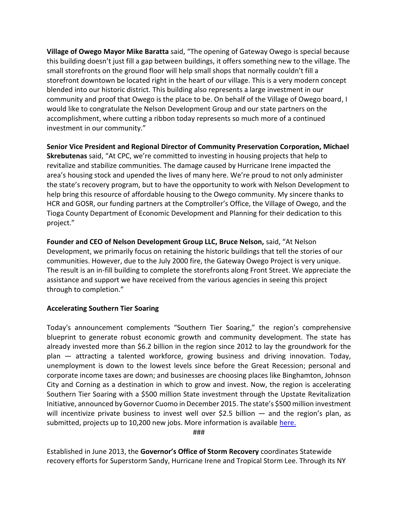**Village of Owego Mayor Mike Baratta** said, "The opening of Gateway Owego is special because this building doesn't just fill a gap between buildings, it offers something new to the village. The small storefronts on the ground floor will help small shops that normally couldn't fill a storefront downtown be located right in the heart of our village. This is a very modern concept blended into our historic district. This building also represents a large investment in our community and proof that Owego is the place to be. On behalf of the Village of Owego board, I would like to congratulate the Nelson Development Group and our state partners on the accomplishment, where cutting a ribbon today represents so much more of a continued investment in our community."

**Senior Vice President and Regional Director of Community Preservation Corporation, Michael Skrebutenas** said, "At CPC, we're committed to investing in housing projects that help to revitalize and stabilize communities. The damage caused by Hurricane Irene impacted the area's housing stock and upended the lives of many here. We're proud to not only administer the state's recovery program, but to have the opportunity to work with Nelson Development to help bring this resource of affordable housing to the Owego community. My sincere thanks to HCR and GOSR, our funding partners at the Comptroller's Office, the Village of Owego, and the Tioga County Department of Economic Development and Planning for their dedication to this project."

**Founder and CEO of Nelson Development Group LLC, Bruce Nelson,** said, "At Nelson Development, we primarily focus on retaining the historic buildings that tell the stories of our communities. However, due to the July 2000 fire, the Gateway Owego Project is very unique. The result is an in-fill building to complete the storefronts along Front Street. We appreciate the assistance and support we have received from the various agencies in seeing this project through to completion."

## **Accelerating Southern Tier Soaring**

Today's announcement complements "Southern Tier Soaring," the region's comprehensive blueprint to generate robust economic growth and community development. The state has already invested more than \$6.2 billion in the region since 2012 to lay the groundwork for the plan — attracting a talented workforce, growing business and driving innovation. Today, unemployment is down to the lowest levels since before the Great Recession; personal and corporate income taxes are down; and businesses are choosing places like Binghamton, Johnson City and Corning as a destination in which to grow and invest. Now, the region is accelerating Southern Tier Soaring with a \$500 million State investment through the Upstate Revitalization Initiative, announced by Governor Cuomo in December 2015. The state's \$500 million investment will incentivize private business to invest well over \$2.5 billion  $-$  and the region's plan, as submitted, projects up to 10,200 new jobs. More information is available [here.](https://esd.ny.gov/southern-tier-soaring-uri)

###

Established in June 2013, the **Governor's Office of Storm Recovery** coordinates Statewide recovery efforts for Superstorm Sandy, Hurricane Irene and Tropical Storm Lee. Through its NY